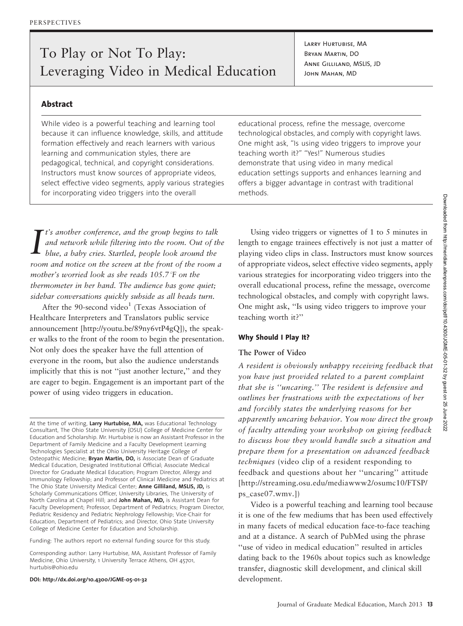# To Play or Not To Play: Leveraging Video in Medical Education

Larry Hurtubise, MA Bryan Martin, DO Anne Gilliland, MSLIS, JD John Mahan, MD

# Abstract

While video is a powerful teaching and learning tool because it can influence knowledge, skills, and attitude formation effectively and reach learners with various learning and communication styles, there are pedagogical, technical, and copyright considerations. Instructors must know sources of appropriate videos, select effective video segments, apply various strategies for incorporating video triggers into the overall

educational process, refine the message, overcome technological obstacles, and comply with copyright laws. One might ask, ''Is using video triggers to improve your teaching worth it?'' ''Yes!'' Numerous studies demonstrate that using video in many medical education settings supports and enhances learning and offers a bigger advantage in contrast with traditional methods.

I t's another conference, and the group begins to talk and network while filtering into the room. Out of the blue, a baby cries. Startled, people look around the room and notice on the screen at the front of the room a mother's worried look as she reads  $105.7$ <sup> $\circ$ </sup>F on the thermometer in her hand. The audience has gone quiet; sidebar conversations quickly subside as all heads turn.

After the 90-second video<sup>1</sup> (Texas Association of Healthcare Interpreters and Translators public service announcement [http://youtu.be/89ny6vtP4gQ]), the speaker walks to the front of the room to begin the presentation. Not only does the speaker have the full attention of everyone in the room, but also the audience understands implicitly that this is not "just another lecture," and they are eager to begin. Engagement is an important part of the power of using video triggers in education.

At the time of writing, Larry Hurtubise, MA, was Educational Technology Consultant, The Ohio State University (OSU) College of Medicine Center for Education and Scholarship. Mr. Hurtubise is now an Assistant Professor in the Department of Family Medicine and a Faculty Development Learning Technologies Specialist at the Ohio University Heritage College of Osteopathic Medicine; Bryan Martin, DO, is Associate Dean of Graduate Medical Education, Designated Institutional Official; Associate Medical Director for Graduate Medical Education; Program Director, Allergy and Immunology Fellowship; and Professor of Clinical Medicine and Pediatrics at The Ohio State University Medical Center; Anne Gilliland, MSLIS, JD, is Scholarly Communications Officer, University Libraries, The University of North Carolina at Chapel Hill; and John Mahan, MD, is Assistant Dean for Faculty Development; Professor, Department of Pediatrics; Program Director, Pediatric Residency and Pediatric Nephrology Fellowship; Vice-Chair for Education, Department of Pediatrics; and Director, Ohio State University College of Medicine Center for Education and Scholarship.

Funding: The authors report no external funding source for this study.

Corresponding author: Larry Hurtubise, MA, Assistant Professor of Family Medicine, Ohio University, 1 University Terrace Athens, OH 45701, hurtubis@ohio.edu

DOI: http://dx.doi.org/10.4300/JGME-05-01-32

Using video triggers or vignettes of 1 to 5 minutes in length to engage trainees effectively is not just a matter of playing video clips in class. Instructors must know sources of appropriate videos, select effective video segments, apply various strategies for incorporating video triggers into the overall educational process, refine the message, overcome technological obstacles, and comply with copyright laws. One might ask, ''Is using video triggers to improve your teaching worth it?''

#### Why Should I Play It?

#### The Power of Video

A resident is obviously unhappy receiving feedback that you have just provided related to a parent complaint that she is ''uncaring.'' The resident is defensive and outlines her frustrations with the expectations of her and forcibly states the underlying reasons for her apparently uncaring behavior. You now direct the group of faculty attending your workshop on giving feedback to discuss how they would handle such a situation and prepare them for a presentation on advanced feedback techniques (video clip of a resident responding to feedback and questions about her ''uncaring'' attitude [http://streaming.osu.edu/mediawww2/osumc10/FTSP/ ps\_case07.wmv.])

Video is a powerful teaching and learning tool because it is one of the few mediums that has been used effectively in many facets of medical education face-to-face teaching and at a distance. A search of PubMed using the phrase "use of video in medical education" resulted in articles dating back to the 1960s about topics such as knowledge transfer, diagnostic skill development, and clinical skill development.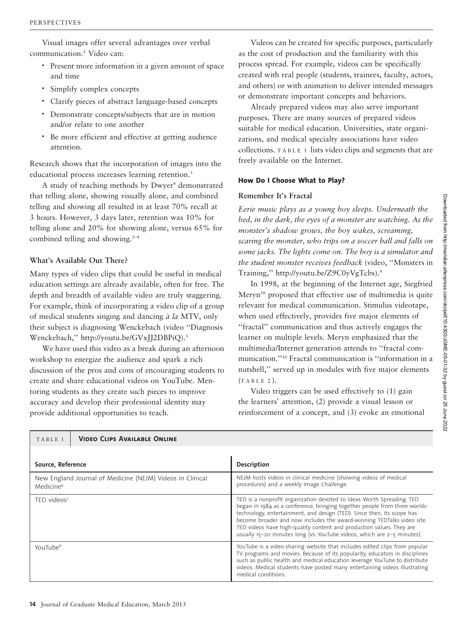Visual images offer several advantages over verbal communication.2 Video can:

- Present more information in a given amount of space and time
- Simplify complex concepts
- Clarify pieces of abstract language-based concepts
- Demonstrate concepts/subjects that are in motion and/or relate to one another
- Be more efficient and effective at getting audience attention.

Research shows that the incorporation of images into the educational process increases learning retention.<sup>3</sup>

A study of teaching methods by Dwyer<sup>4</sup> demonstrated that telling alone, showing visually alone, and combined telling and showing all resulted in at least 70% recall at 3 hours. However, 3 days later, retention was 10% for telling alone and 20% for showing alone, versus 65% for combined telling and showing. $2-4$ 

## What's Available Out There?

Many types of video clips that could be useful in medical education settings are already available, often for free. The depth and breadth of available video are truly staggering. For example, think of incorporating a video clip of a group of medical students singing and dancing  $\dot{a}$  la MTV, only their subject is diagnosing Wenckebach (video ''Diagnosis Wenckebach,'' http://youtu.be/GVxJJ2DBPiQ).5

We have used this video as a break during an afternoon workshop to energize the audience and spark a rich discussion of the pros and cons of encouraging students to create and share educational videos on YouTube. Mentoring students as they create such pieces to improve accuracy and develop their professional identity may provide additional opportunities to teach.

Videos can be created for specific purposes, particularly as the cost of production and the familiarity with this process spread. For example, videos can be specifically created with real people (students, trainees, faculty, actors, and others) or with animation to deliver intended messages or demonstrate important concepts and behaviors.

Already prepared videos may also serve important purposes. There are many sources of prepared videos suitable for medical education. Universities, state organizations, and medical specialty associations have video collections. TABLE 1 lists video clips and segments that are freely available on the Internet.

#### How Do I Choose What to Play?

#### Remember It's Fractal

Eerie music plays as a young boy sleeps. Underneath the bed, in the dark, the eyes of a monster are watching. As the monster's shadow grows, the boy wakes, screaming, scaring the monster, who trips on a soccer ball and falls on some jacks. The lights come on. The boy is a simulator and the student monster receives feedback (video, ''Monsters in Training,'' http://youtu.be/Z9C0yVgTcbs).9

In 1998, at the beginning of the Internet age, Siegfried Meryn<sup>10</sup> proposed that effective use of multimedia is quite relevant for medical communication. Stimulus videotape, when used effectively, provides five major elements of ''fractal'' communication and thus actively engages the learner on multiple levels. Meryn emphasized that the multimedia/Internet generation attends to ''fractal communication.''10 Fractal communication is ''information in a nutshell,'' served up in modules with five major elements (TABLE 2 ).

Video triggers can be used effectively to (1) gain the learners' attention, (2) provide a visual lesson or reinforcement of a concept, and (3) evoke an emotional

| TABLE 1                                                                            | <b>VIDEO CLIPS AVAILABLE ONLINE</b> |                                                                                                                                                                                                                                                                                                                                                                                                                                                            |  |
|------------------------------------------------------------------------------------|-------------------------------------|------------------------------------------------------------------------------------------------------------------------------------------------------------------------------------------------------------------------------------------------------------------------------------------------------------------------------------------------------------------------------------------------------------------------------------------------------------|--|
| Source, Reference                                                                  |                                     | <b>Description</b>                                                                                                                                                                                                                                                                                                                                                                                                                                         |  |
| New England Journal of Medicine (NEJM) Videos in Clinical<br>Medicine <sup>6</sup> |                                     | NEJM hosts videos in clinical medicine (showing videos of medical<br>procedures) and a weekly Image Challenge.                                                                                                                                                                                                                                                                                                                                             |  |
| TED videos <sup>7</sup>                                                            |                                     | TED is a nonprofit organization devoted to Ideas Worth Spreading. TED<br>began in 1984 as a conference, bringing together people from three worlds:<br>technology, entertainment, and design (TED). Since then, its scope has<br>become broader and now includes the award-winning TEDTalks video site.<br>TED videos have high-quality content and production values. They are<br>usually 15-20 minutes long (vs. YouTube videos, which are 2-5 minutes). |  |
| YouTube <sup>8</sup>                                                               |                                     | YouTube is a video-sharing website that includes edited clips from popular<br>TV programs and movies. Because of its popularity, educators in disciplines<br>such as public health and medical education leverage YouTube to distribute<br>videos. Medical students have posted many entertaining videos illustrating<br>medical conditions.                                                                                                               |  |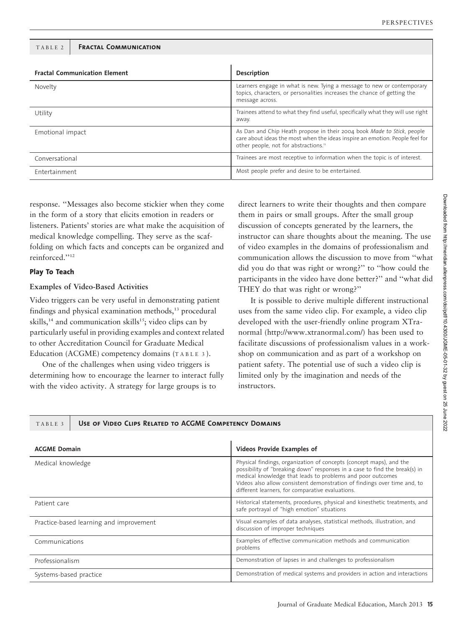| <b>FRACTAL COMMUNICATION</b><br>TABLE 2 |                                                                                                                                                                                                |  |  |  |
|-----------------------------------------|------------------------------------------------------------------------------------------------------------------------------------------------------------------------------------------------|--|--|--|
|                                         |                                                                                                                                                                                                |  |  |  |
| <b>Fractal Communication Element</b>    | <b>Description</b>                                                                                                                                                                             |  |  |  |
| Novelty                                 | Learners engage in what is new. Tying a message to new or contemporary<br>topics, characters, or personalities increases the chance of getting the<br>message across.                          |  |  |  |
| Utility                                 | Trainees attend to what they find useful, specifically what they will use right<br>away.                                                                                                       |  |  |  |
| Emotional impact                        | As Dan and Chip Heath propose in their 2004 book Made to Stick, people<br>care about ideas the most when the ideas inspire an emotion. People feel for<br>other people, not for abstractions." |  |  |  |
| Conversational                          | Trainees are most receptive to information when the topic is of interest.                                                                                                                      |  |  |  |
| Entertainment                           | Most people prefer and desire to be entertained.                                                                                                                                               |  |  |  |

response. ''Messages also become stickier when they come in the form of a story that elicits emotion in readers or listeners. Patients' stories are what make the acquisition of medical knowledge compelling. They serve as the scaffolding on which facts and concepts can be organized and reinforced.''12

### Play To Teach

#### Examples of Video-Based Activities

Video triggers can be very useful in demonstrating patient findings and physical examination methods,<sup>13</sup> procedural skills, $14$  and communication skills $15$ ; video clips can by particularly useful in providing examples and context related to other Accreditation Council for Graduate Medical Education (ACGME) competency domains (TABLE 3 ).

One of the challenges when using video triggers is determining how to encourage the learner to interact fully with the video activity. A strategy for large groups is to

direct learners to write their thoughts and then compare them in pairs or small groups. After the small group discussion of concepts generated by the learners, the instructor can share thoughts about the meaning. The use of video examples in the domains of professionalism and communication allows the discussion to move from ''what did you do that was right or wrong?'' to ''how could the participants in the video have done better?'' and ''what did THEY do that was right or wrong?''

It is possible to derive multiple different instructional uses from the same video clip. For example, a video clip developed with the user-friendly online program XTranormal (http://www.xtranormal.com/) has been used to facilitate discussions of professionalism values in a workshop on communication and as part of a workshop on patient safety. The potential use of such a video clip is limited only by the imagination and needs of the instructors.

| TABLE 3 |  |  |  |  |  |  |
|---------|--|--|--|--|--|--|
|---------|--|--|--|--|--|--|

USE OF VIDEO CLIPS RELATED TO ACGME COMPETENCY DOMAINS

| <b>ACGME Domain</b>                     | Videos Provide Examples of                                                                                                                                                                                                                                                                                                                      |
|-----------------------------------------|-------------------------------------------------------------------------------------------------------------------------------------------------------------------------------------------------------------------------------------------------------------------------------------------------------------------------------------------------|
| Medical knowledge                       | Physical findings, organization of concepts (concept maps), and the<br>possibility of "breaking down" responses in a case to find the break(s) in<br>medical knowledge that leads to problems and poor outcomes<br>Videos also allow consistent demonstration of findings over time and, to<br>different learners, for comparative evaluations. |
| Patient care                            | Historical statements, procedures, physical and kinesthetic treatments, and<br>safe portrayal of "high emotion" situations                                                                                                                                                                                                                      |
| Practice-based learning and improvement | Visual examples of data analyses, statistical methods, illustration, and<br>discussion of improper techniques                                                                                                                                                                                                                                   |
| Communications                          | Examples of effective communication methods and communication<br>problems                                                                                                                                                                                                                                                                       |
| Professionalism                         | Demonstration of lapses in and challenges to professionalism                                                                                                                                                                                                                                                                                    |
| Systems-based practice                  | Demonstration of medical systems and providers in action and interactions                                                                                                                                                                                                                                                                       |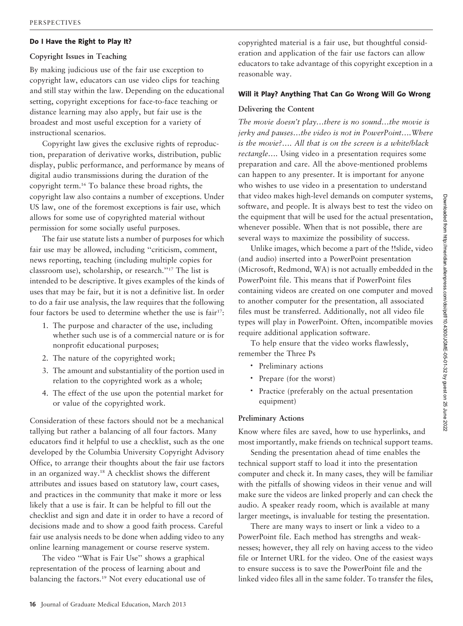#### Do I Have the Right to Play It?

### Copyright Issues in Teaching

By making judicious use of the fair use exception to copyright law, educators can use video clips for teaching and still stay within the law. Depending on the educational setting, copyright exceptions for face-to-face teaching or distance learning may also apply, but fair use is the broadest and most useful exception for a variety of instructional scenarios.

Copyright law gives the exclusive rights of reproduction, preparation of derivative works, distribution, public display, public performance, and performance by means of digital audio transmissions during the duration of the copyright term.16 To balance these broad rights, the copyright law also contains a number of exceptions. Under US law, one of the foremost exceptions is fair use, which allows for some use of copyrighted material without permission for some socially useful purposes.

The fair use statute lists a number of purposes for which fair use may be allowed, including ''criticism, comment, news reporting, teaching (including multiple copies for classroom use), scholarship, or research.''17 The list is intended to be descriptive. It gives examples of the kinds of uses that may be fair, but it is not a definitive list. In order to do a fair use analysis, the law requires that the following four factors be used to determine whether the use is fair<sup>17</sup>:

- 1. The purpose and character of the use, including whether such use is of a commercial nature or is for nonprofit educational purposes;
- 2. The nature of the copyrighted work;
- 3. The amount and substantiality of the portion used in relation to the copyrighted work as a whole;
- 4. The effect of the use upon the potential market for or value of the copyrighted work.

Consideration of these factors should not be a mechanical tallying but rather a balancing of all four factors. Many educators find it helpful to use a checklist, such as the one developed by the Columbia University Copyright Advisory Office, to arrange their thoughts about the fair use factors in an organized way.18 A checklist shows the different attributes and issues based on statutory law, court cases, and practices in the community that make it more or less likely that a use is fair. It can be helpful to fill out the checklist and sign and date it in order to have a record of decisions made and to show a good faith process. Careful fair use analysis needs to be done when adding video to any online learning management or course reserve system.

The video ''What is Fair Use'' shows a graphical representation of the process of learning about and balancing the factors.19 Not every educational use of copyrighted material is a fair use, but thoughtful consideration and application of the fair use factors can allow educators to take advantage of this copyright exception in a reasonable way.

# Will it Play? Anything That Can Go Wrong Will Go Wrong

#### Delivering the Content

The movie doesn't play…there is no sound…the movie is jerky and pauses…the video is not in PowerPoint….Where is the movie?…. All that is on the screen is a white/black rectangle…. Using video in a presentation requires some preparation and care. All the above-mentioned problems can happen to any presenter. It is important for anyone who wishes to use video in a presentation to understand that video makes high-level demands on computer systems, software, and people. It is always best to test the video on the equipment that will be used for the actual presentation, whenever possible. When that is not possible, there are several ways to maximize the possibility of success.

Unlike images, which become a part of the !!slide, video (and audio) inserted into a PowerPoint presentation (Microsoft, Redmond, WA) is not actually embedded in the PowerPoint file. This means that if PowerPoint files containing videos are created on one computer and moved to another computer for the presentation, all associated files must be transferred. Additionally, not all video file types will play in PowerPoint. Often, incompatible movies require additional application software.

To help ensure that the video works flawlessly, remember the Three Ps

- Preliminary actions
- Prepare (for the worst)
- Practice (preferably on the actual presentation equipment)

#### Preliminary Actions

Know where files are saved, how to use hyperlinks, and most importantly, make friends on technical support teams.

Sending the presentation ahead of time enables the technical support staff to load it into the presentation computer and check it. In many cases, they will be familiar with the pitfalls of showing videos in their venue and will make sure the videos are linked properly and can check the audio. A speaker ready room, which is available at many larger meetings, is invaluable for testing the presentation.

There are many ways to insert or link a video to a PowerPoint file. Each method has strengths and weaknesses; however, they all rely on having access to the video file or Internet URL for the video. One of the easiest ways to ensure success is to save the PowerPoint file and the linked video files all in the same folder. To transfer the files,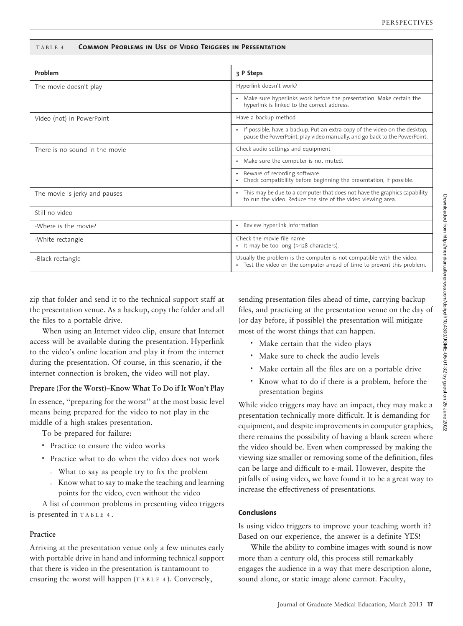TABLE 4 Common Problems in Use of Video Triggers in Presentation

| Problem                        | 3 P Steps                                                                                                                                                 |  |  |
|--------------------------------|-----------------------------------------------------------------------------------------------------------------------------------------------------------|--|--|
| The movie doesn't play         | Hyperlink doesn't work?                                                                                                                                   |  |  |
|                                | • Make sure hyperlinks work before the presentation. Make certain the<br>hyperlink is linked to the correct address.                                      |  |  |
| Video (not) in PowerPoint      | Have a backup method                                                                                                                                      |  |  |
|                                | • If possible, have a backup. Put an extra copy of the video on the desktop,<br>pause the PowerPoint, play video manually, and go back to the PowerPoint. |  |  |
| There is no sound in the movie | Check audio settings and equipment                                                                                                                        |  |  |
|                                | • Make sure the computer is not muted.                                                                                                                    |  |  |
|                                | Beware of recording software.<br>$\bullet$<br>Check compatibility before beginning the presentation, if possible.                                         |  |  |
| The movie is jerky and pauses  | This may be due to a computer that does not have the graphics capability<br>$\bullet$<br>to run the video. Reduce the size of the video viewing area.     |  |  |
| Still no video                 |                                                                                                                                                           |  |  |
| -Where is the movie?           | Review hyperlink information<br>$\bullet$                                                                                                                 |  |  |
| -White rectangle               | Check the movie file name<br>• It may be too long (>128 characters).                                                                                      |  |  |
| -Black rectangle               | Usually the problem is the computer is not compatible with the video.<br>• Test the video on the computer ahead of time to prevent this problem.          |  |  |
|                                |                                                                                                                                                           |  |  |

zip that folder and send it to the technical support staff at the presentation venue. As a backup, copy the folder and all the files to a portable drive.

When using an Internet video clip, ensure that Internet access will be available during the presentation. Hyperlink to the video's online location and play it from the internet during the presentation. Of course, in this scenario, if the internet connection is broken, the video will not play.

#### Prepare (For the Worst)–Know What To Do if It Won't Play

In essence, ''preparing for the worst'' at the most basic level means being prepared for the video to not play in the middle of a high-stakes presentation.

To be prepared for failure:

- Practice to ensure the video works
- Practice what to do when the video does not work
	- What to say as people try to fix the problem
	- Know what to say to make the teaching and learning points for the video, even without the video

A list of common problems in presenting video triggers is presented in TABLE 4 .

#### Practice

Arriving at the presentation venue only a few minutes early with portable drive in hand and informing technical support that there is video in the presentation is tantamount to ensuring the worst will happen (TABLE 4 ). Conversely,

sending presentation files ahead of time, carrying backup files, and practicing at the presentation venue on the day of (or day before, if possible) the presentation will mitigate most of the worst things that can happen.

- Make certain that the video plays
- Make sure to check the audio levels
- Make certain all the files are on a portable drive
- Know what to do if there is a problem, before the presentation begins

While video triggers may have an impact, they may make a presentation technically more difficult. It is demanding for equipment, and despite improvements in computer graphics, there remains the possibility of having a blank screen where the video should be. Even when compressed by making the viewing size smaller or removing some of the definition, files can be large and difficult to e-mail. However, despite the pitfalls of using video, we have found it to be a great way to increase the effectiveness of presentations.

#### Conclusions

Is using video triggers to improve your teaching worth it? Based on our experience, the answer is a definite YES!

While the ability to combine images with sound is now more than a century old, this process still remarkably engages the audience in a way that mere description alone, sound alone, or static image alone cannot. Faculty,